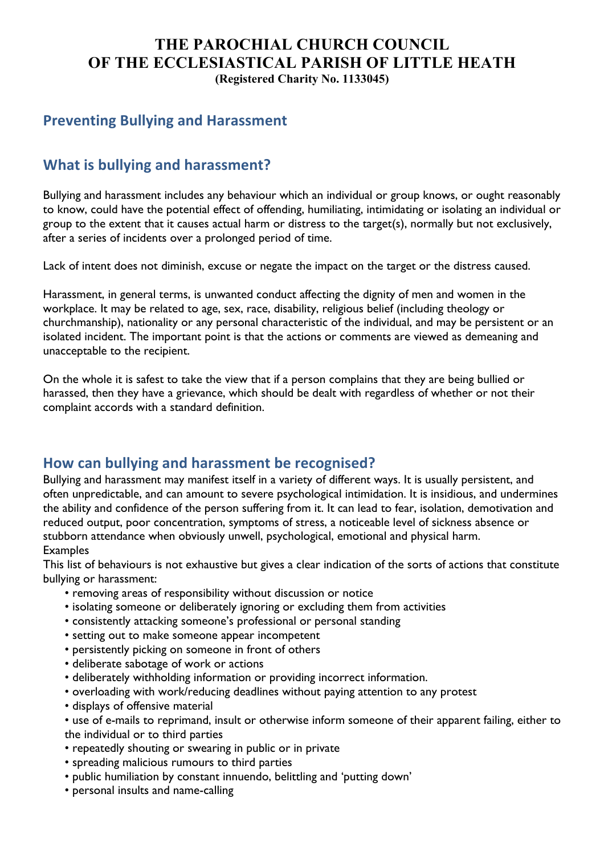### **THE PAROCHIAL CHURCH COUNCIL OF THE ECCLESIASTICAL PARISH OF LITTLE HEATH (Registered Charity No. 1133045)**

## **Preventing Bullying and Harassment**

# **What is bullying and harassment?**

Bullying and harassment includes any behaviour which an individual or group knows, or ought reasonably to know, could have the potential effect of offending, humiliating, intimidating or isolating an individual or group to the extent that it causes actual harm or distress to the target(s), normally but not exclusively, after a series of incidents over a prolonged period of time.

Lack of intent does not diminish, excuse or negate the impact on the target or the distress caused.

Harassment, in general terms, is unwanted conduct affecting the dignity of men and women in the workplace. It may be related to age, sex, race, disability, religious belief (including theology or churchmanship), nationality or any personal characteristic of the individual, and may be persistent or an isolated incident. The important point is that the actions or comments are viewed as demeaning and unacceptable to the recipient.

On the whole it is safest to take the view that if a person complains that they are being bullied or harassed, then they have a grievance, which should be dealt with regardless of whether or not their complaint accords with a standard definition.

### How can bullying and harassment be recognised?

Bullying and harassment may manifest itself in a variety of different ways. It is usually persistent, and often unpredictable, and can amount to severe psychological intimidation. It is insidious, and undermines the ability and confidence of the person suffering from it. It can lead to fear, isolation, demotivation and reduced output, poor concentration, symptoms of stress, a noticeable level of sickness absence or stubborn attendance when obviously unwell, psychological, emotional and physical harm. Examples

This list of behaviours is not exhaustive but gives a clear indication of the sorts of actions that constitute bullying or harassment:

- removing areas of responsibility without discussion or notice
- isolating someone or deliberately ignoring or excluding them from activities
- consistently attacking someone's professional or personal standing
- setting out to make someone appear incompetent
- persistently picking on someone in front of others
- deliberate sabotage of work or actions
- deliberately withholding information or providing incorrect information.
- overloading with work/reducing deadlines without paying attention to any protest
- displays of offensive material
- use of e-mails to reprimand, insult or otherwise inform someone of their apparent failing, either to the individual or to third parties
- repeatedly shouting or swearing in public or in private
- spreading malicious rumours to third parties
- public humiliation by constant innuendo, belittling and 'putting down'
- personal insults and name-calling